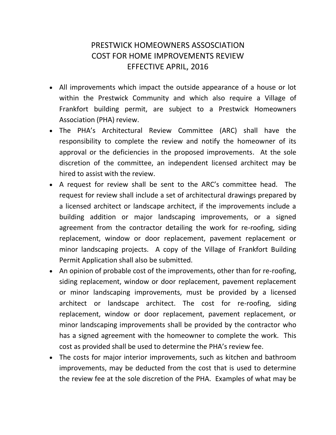## PRESTWICK HOMEOWNERS ASSOSCIATION COST FOR HOME IMPROVEMENTS REVIEW EFFECTIVE APRIL, 2016

- All improvements which impact the outside appearance of a house or lot within the Prestwick Community and which also require a Village of Frankfort building permit, are subject to a Prestwick Homeowners Association (PHA) review.
- The PHA's Architectural Review Committee (ARC) shall have the responsibility to complete the review and notify the homeowner of its approval or the deficiencies in the proposed improvements. At the sole discretion of the committee, an independent licensed architect may be hired to assist with the review.
- A request for review shall be sent to the ARC's committee head. The request for review shall include a set of architectural drawings prepared by a licensed architect or landscape architect, if the improvements include a building addition or major landscaping improvements, or a signed agreement from the contractor detailing the work for re-roofing, siding replacement, window or door replacement, pavement replacement or minor landscaping projects. A copy of the Village of Frankfort Building Permit Application shall also be submitted.
- An opinion of probable cost of the improvements, other than for re-roofing, siding replacement, window or door replacement, pavement replacement or minor landscaping improvements, must be provided by a licensed architect or landscape architect. The cost for re-roofing, siding replacement, window or door replacement, pavement replacement, or minor landscaping improvements shall be provided by the contractor who has a signed agreement with the homeowner to complete the work. This cost as provided shall be used to determine the PHA's review fee.
- The costs for major interior improvements, such as kitchen and bathroom improvements, may be deducted from the cost that is used to determine the review fee at the sole discretion of the PHA. Examples of what may be